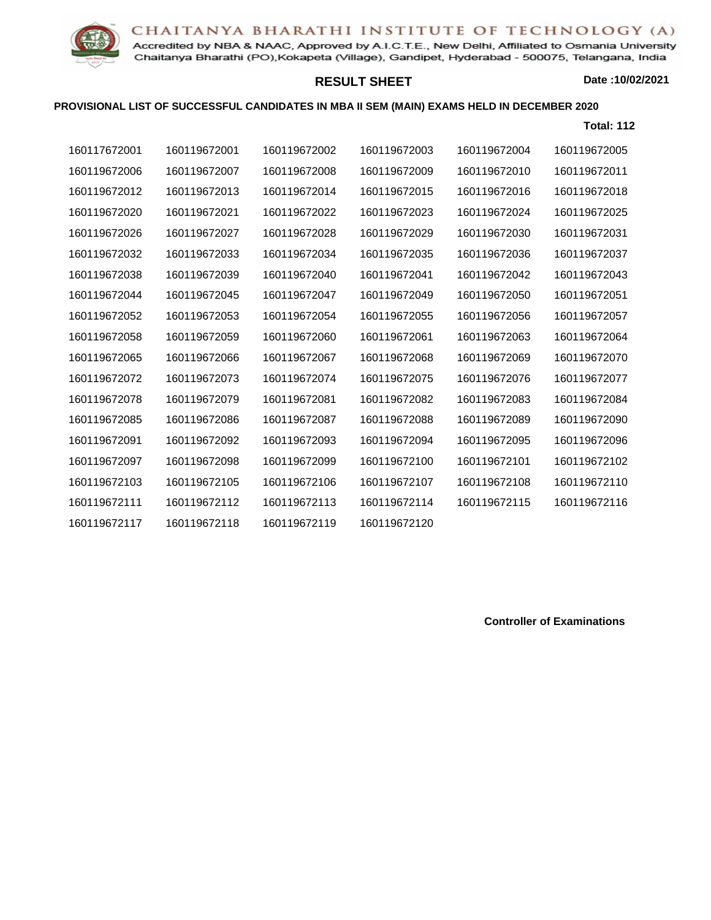## CHAITANYA BHARATHI INSTITUTE OF TECHNOLOGY (A)



Accredited by NBA & NAAC, Approved by A.I.C.T.E., New Delhi, Affiliated to Osmania University Chaitanya Bharathi (PO), Kokapeta (Village), Gandipet, Hyderabad - 500075, Telangana, India

## **RESULT SHEET**

**Date :10/02/2021**

## **PROVISIONAL LIST OF SUCCESSFUL CANDIDATES IN MBA II SEM (MAIN) EXAMS HELD IN DECEMBER 2020**

|              |              |              |              |              | <b>Total: 112</b> |
|--------------|--------------|--------------|--------------|--------------|-------------------|
| 160117672001 | 160119672001 | 160119672002 | 160119672003 | 160119672004 | 160119672005      |
| 160119672006 | 160119672007 | 160119672008 | 160119672009 | 160119672010 | 160119672011      |
| 160119672012 | 160119672013 | 160119672014 | 160119672015 | 160119672016 | 160119672018      |
| 160119672020 | 160119672021 | 160119672022 | 160119672023 | 160119672024 | 160119672025      |
| 160119672026 | 160119672027 | 160119672028 | 160119672029 | 160119672030 | 160119672031      |
| 160119672032 | 160119672033 | 160119672034 | 160119672035 | 160119672036 | 160119672037      |
| 160119672038 | 160119672039 | 160119672040 | 160119672041 | 160119672042 | 160119672043      |
| 160119672044 | 160119672045 | 160119672047 | 160119672049 | 160119672050 | 160119672051      |
| 160119672052 | 160119672053 | 160119672054 | 160119672055 | 160119672056 | 160119672057      |
| 160119672058 | 160119672059 | 160119672060 | 160119672061 | 160119672063 | 160119672064      |
| 160119672065 | 160119672066 | 160119672067 | 160119672068 | 160119672069 | 160119672070      |
| 160119672072 | 160119672073 | 160119672074 | 160119672075 | 160119672076 | 160119672077      |
| 160119672078 | 160119672079 | 160119672081 | 160119672082 | 160119672083 | 160119672084      |
| 160119672085 | 160119672086 | 160119672087 | 160119672088 | 160119672089 | 160119672090      |
| 160119672091 | 160119672092 | 160119672093 | 160119672094 | 160119672095 | 160119672096      |
| 160119672097 | 160119672098 | 160119672099 | 160119672100 | 160119672101 | 160119672102      |
| 160119672103 | 160119672105 | 160119672106 | 160119672107 | 160119672108 | 160119672110      |
| 160119672111 | 160119672112 | 160119672113 | 160119672114 | 160119672115 | 160119672116      |
| 160119672117 | 160119672118 | 160119672119 | 160119672120 |              |                   |

**Controller of Examinations**